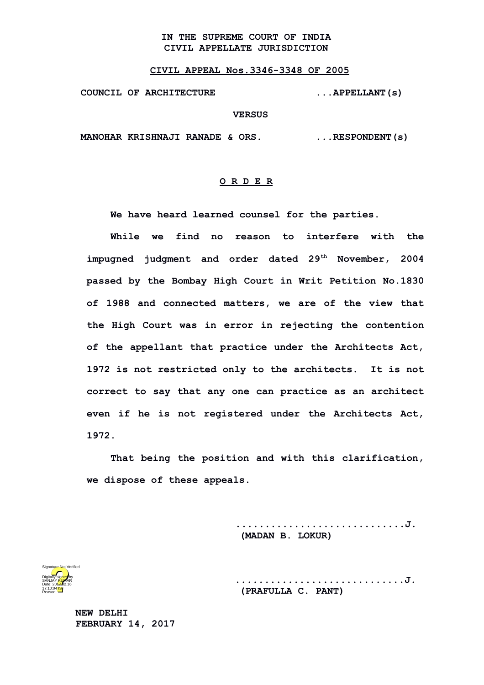## **IN THE SUPREME COURT OF INDIA CIVIL APPELLATE JURISDICTION**

## **CIVIL APPEAL Nos.3346-3348 OF 2005**

**COUNCIL OF ARCHITECTURE ...APPELLANT(s)**

## **VERSUS**

**MANOHAR KRISHNAJI RANADE & ORS. ...RESPONDENT(s)**

## **O R D E R**

**We have heard learned counsel for the parties.**

**While we find no reason to interfere with the impugned judgment and order dated 29th November, 2004 passed by the Bombay High Court in Writ Petition No.1830 of 1988 and connected matters, we are of the view that the High Court was in error in rejecting the contention of the appellant that practice under the Architects Act, 1972 is not restricted only to the architects. It is not correct to say that any one can practice as an architect even if he is not registered under the Architects Act, 1972.**

**That being the position and with this clarification, we dispose of these appeals.**

> **.............................J. (MADAN B. LOKUR)**



**.............................J. (PRAFULLA C. PANT)**

**NEW DELHI FEBRUARY 14, 2017**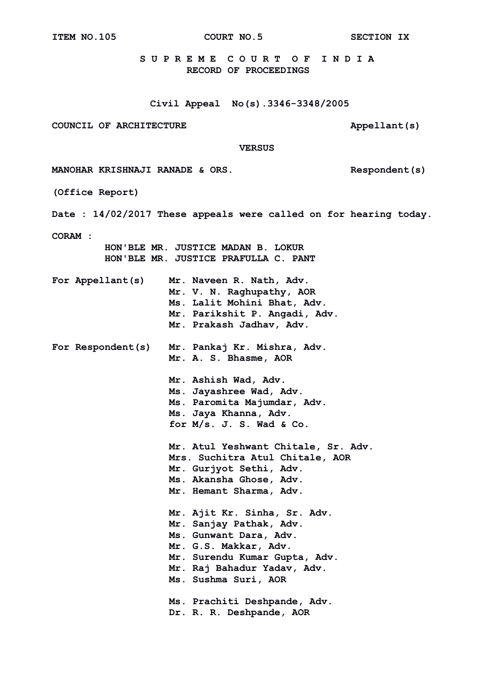**ITEM NO.105 COURT NO.5 SECTION IX**

 **S U P R E M E C O U R T O F I N D I A RECORD OF PROCEEDINGS**

**Civil Appeal No(s).3346-3348/2005**

COUNCIL OF ARCHITECTURE **Appellant**(s)

 **VERSUS**

**MANOHAR KRISHNAJI RANADE & ORS.** Respondent(s)

**(Office Report)**

**Date : 14/02/2017 These appeals were called on for hearing today.**

**CORAM :** 

 **HON'BLE MR. JUSTICE MADAN B. LOKUR HON'BLE MR. JUSTICE PRAFULLA C. PANT**

|  | For Appellant(s) | Mr. Naveen R. Nath, Adv.      |  |
|--|------------------|-------------------------------|--|
|  |                  | Mr. V. N. Raghupathy, AOR     |  |
|  |                  | Ms. Lalit Mohini Bhat, Adv.   |  |
|  |                  | Mr. Parikshit P. Angadi, Adv. |  |
|  |                  | Mr. Prakash Jadhav, Adv.      |  |

**For Respondent(s) Mr. Pankaj Kr. Mishra, Adv. Mr. A. S. Bhasme, AOR**

> **Mr. Ashish Wad, Adv. Ms. Jayashree Wad, Adv. Ms. Paromita Majumdar, Adv. Ms. Jaya Khanna, Adv. for M/s. J. S. Wad & Co.**

 **Mr. Atul Yeshwant Chitale, Sr. Adv. Mrs. Suchitra Atul Chitale, AOR Mr. Gurjyot Sethi, Adv. Ms. Akansha Ghose, Adv. Mr. Hemant Sharma, Adv.**

 **Mr. Ajit Kr. Sinha, Sr. Adv. Mr. Sanjay Pathak, Adv. Ms. Gunwant Dara, Adv. Mr. G.S. Makkar, Adv. Mr. Surendu Kumar Gupta, Adv. Mr. Raj Bahadur Yadav, Adv. Ms. Sushma Suri, AOR**

 **Ms. Prachiti Deshpande, Adv. Dr. R. R. Deshpande, AOR**